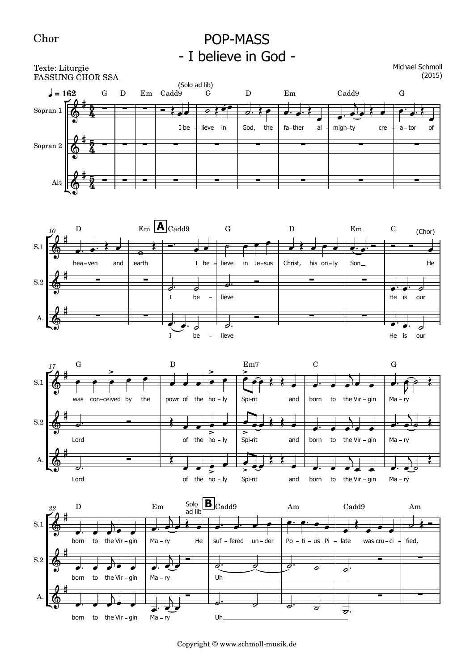## Chor

Texte: Liturgie

POP-MASS - I believe in God -

Michael Schmoll (2015)









Copyright © www.schmoll-musik.de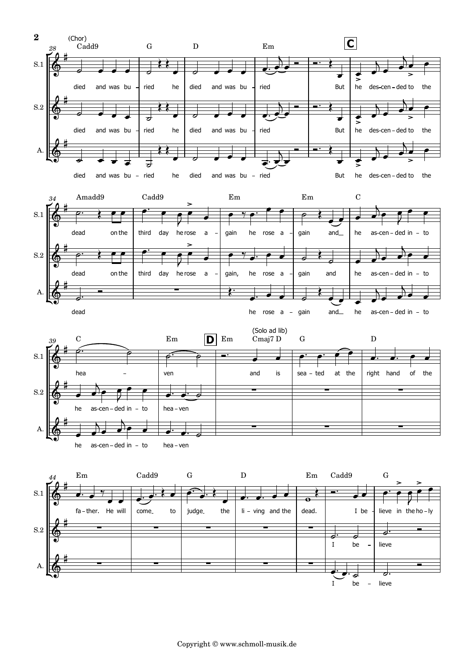



 $\mathbb{E}$ 

 $\overrightarrow{e}$   $\overrightarrow{e}$   $\overrightarrow{e}$   $\overrightarrow{e}$   $\overrightarrow{e}$   $\overrightarrow{e}$   $\overrightarrow{e}$   $\overrightarrow{e}$   $\overrightarrow{e}$   $\overrightarrow{e}$   $\overrightarrow{e}$   $\overrightarrow{e}$   $\overrightarrow{e}$   $\overrightarrow{e}$   $\overrightarrow{e}$   $\overrightarrow{e}$   $\overrightarrow{e}$   $\overrightarrow{e}$   $\overrightarrow{e}$   $\overrightarrow{e}$   $\overrightarrow{e}$   $\overrightarrow{e}$   $\overrightarrow{e}$   $\overrightarrow{e}$   $\overrightarrow{$ 

 $\cdot$   $\overline{\phantom{a}}$   $\overline{\phantom{a}}$   $\overline{\phantom{a}}$ 

I be - lieve